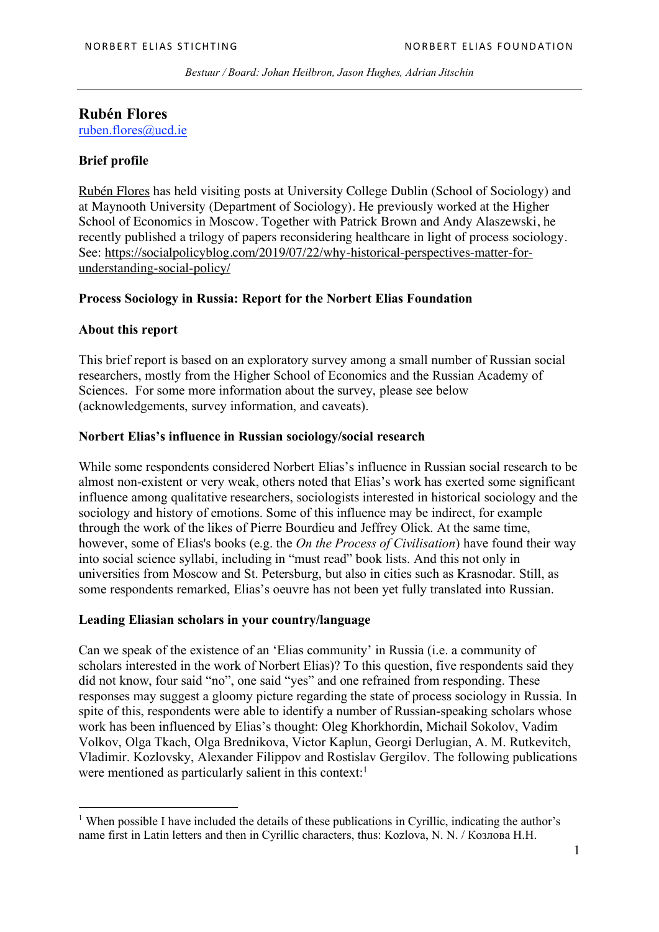*Bestuur / Board: Johan Heilbron, Jason Hughes, Adrian Jitschin*

# **Rubén Flores**

ruben.flores@ucd.ie

## **Brief profile**

Rubén Flores has held visiting posts at University College Dublin (School of Sociology) and at Maynooth University (Department of Sociology). He previously worked at the Higher School of Economics in Moscow. Together with Patrick Brown and Andy Alaszewski, he recently published a trilogy of papers reconsidering healthcare in light of process sociology. See: https://socialpolicyblog.com/2019/07/22/why-historical-perspectives-matter-forunderstanding-social-policy/

## **Process Sociology in Russia: Report for the Norbert Elias Foundation**

## **About this report**

 $\overline{a}$ 

This brief report is based on an exploratory survey among a small number of Russian social researchers, mostly from the Higher School of Economics and the Russian Academy of Sciences. For some more information about the survey, please see below (acknowledgements, survey information, and caveats).

#### **Norbert Elias's influence in Russian sociology/social research**

While some respondents considered Norbert Elias's influence in Russian social research to be almost non-existent or very weak, others noted that Elias's work has exerted some significant influence among qualitative researchers, sociologists interested in historical sociology and the sociology and history of emotions. Some of this influence may be indirect, for example through the work of the likes of Pierre Bourdieu and Jeffrey Olick. At the same time, however, some of Elias's books (e.g. the *On the Process of Civilisation*) have found their way into social science syllabi, including in "must read" book lists. And this not only in universities from Moscow and St. Petersburg, but also in cities such as Krasnodar. Still, as some respondents remarked, Elias's oeuvre has not been yet fully translated into Russian.

## **Leading Eliasian scholars in your country/language**

Can we speak of the existence of an 'Elias community' in Russia (i.e. a community of scholars interested in the work of Norbert Elias)? To this question, five respondents said they did not know, four said "no", one said "yes" and one refrained from responding. These responses may suggest a gloomy picture regarding the state of process sociology in Russia. In spite of this, respondents were able to identify a number of Russian-speaking scholars whose work has been influenced by Elias's thought: Oleg Khorkhordin, Michail Sokolov, Vadim Volkov, Olga Tkach, Olga Brednikova, Victor Kaplun, Georgi Derlugian, A. M. Rutkevitch, Vladimir. Kozlovsky, Alexander Filippov and Rostislav Gergilov. The following publications were mentioned as particularly salient in this context: $<sup>1</sup>$ </sup>

<sup>&</sup>lt;sup>1</sup> When possible I have included the details of these publications in Cyrillic, indicating the author's name first in Latin letters and then in Cyrillic characters, thus: Kozlova, N. N. / Козлова Н.Н.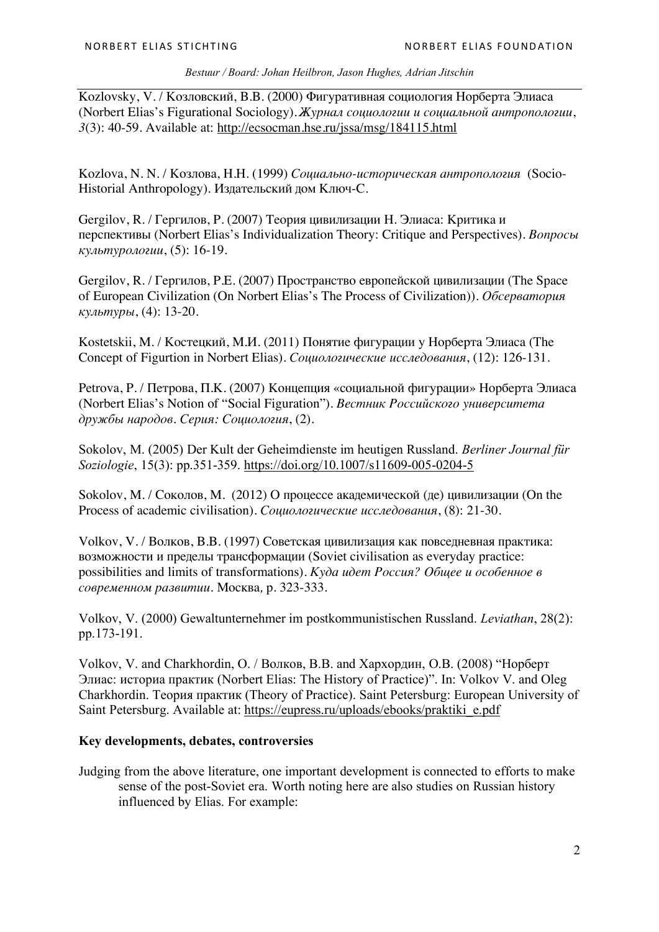#### *Bestuur / Board: Johan Heilbron, Jason Hughes, Adrian Jitschin*

Kozlovsky, V. / Козловский, В.В. (2000) Фигуративная социология Норберта Элиаса (Norbert Elias's Figurational Sociology). *Журнал социологии и социальной антропологии*, *3*(3): 40-59. Available at: http://ecsocman.hse.ru/jssa/msg/184115.html

Kozlova, N. N. / Козлова, Н.Н. (1999) *Социально-историческая антропология* (Socio-Historial Anthropology)*.* Издательский дом Ключ-C.

Gergilov, R. / Гергилов, Р. (2007) Теория цивилизации Н. Элиаса: Критика и перспективы (Norbert Elias's Individualization Theory: Critique and Perspectives). *Вопросы культурологии*, (5): 16-19.

Gergilov, R. / Гергилов, Р.Е. (2007) Пространство европейской цивилизации (The Space of European Civilization (On Norbert Elias's The Process of Civilization)). *Обсерватория культуры*, (4): 13-20.

Kostetskii, M. / Костецкий, М.И. (2011) Понятие фигурации у Норберта Элиаса (The Concept of Figurtion in Norbert Elias). *Социологические исследования*, (12): 126-131.

Petrova, P. / Петрова, П.К. (2007) Концепция «социальной фигурации» Норберта Элиаса (Norbert Elias's Notion of "Social Figuration"). *Вестник Российского университета дружбы народов. Серия: Социология*, (2).

Sokolov, M. (2005) Der Kult der Geheimdienste im heutigen Russland. *Berliner Journal für Soziologie*, 15(3): pp.351-359. https://doi.org/10.1007/s11609-005-0204-5

Sokolov, M. / Соколов, М. (2012) O процессе академической (де) цивилизации (On the Process of academic civilisation). *Социологические исследования*, (8): 21-30.

Volkov, V. / Волков, В.В. (1997) Советская цивилизация как повседневная практика: возможности и пределы трансформации (Soviet civilisation as everyday practice: possibilities and limits of transformations). *Куда идет Россия? Общее и особенное в современном развитии.* Москва*,* p. 323-333.

Volkov, V. (2000) Gewaltunternehmer im postkommunistischen Russland. *Leviathan*, 28(2): pp.173-191.

Volkov, V. and Charkhordin, O. / Волков, В.В. and Хархордин, О.В. (2008) "Норберт Элиас: историа практик (Norbert Elias: The History of Practice)". In: Volkov V. and Oleg Charkhordin. Теория практик (Theory of Practice). Saint Petersburg: European University of Saint Petersburg. Available at: https://eupress.ru/uploads/ebooks/praktiki\_e.pdf

#### **Key developments, debates, controversies**

Judging from the above literature, one important development is connected to efforts to make sense of the post-Soviet era. Worth noting here are also studies on Russian history influenced by Elias. For example: